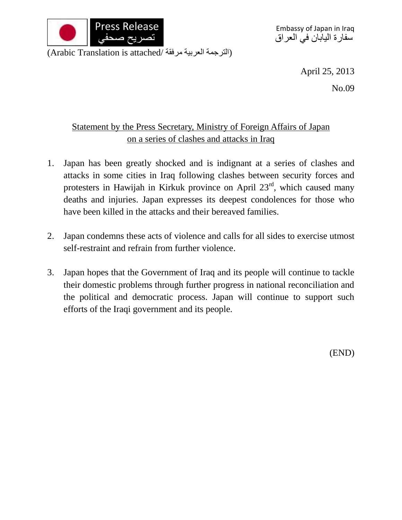

(الترجمة العربية مرفقة /Arabic Translation is attached)

April 25, 2013

No.09

## Statement by the Press Secretary, Ministry of Foreign Affairs of Japan on a series of clashes and attacks in Iraq

- 1. Japan has been greatly shocked and is indignant at a series of clashes and attacks in some cities in Iraq following clashes between security forces and protesters in Hawijah in Kirkuk province on April  $23<sup>rd</sup>$ , which caused many deaths and injuries. Japan expresses its deepest condolences for those who have been killed in the attacks and their bereaved families.
- 2. Japan condemns these acts of violence and calls for all sides to exercise utmost self-restraint and refrain from further violence.
- 3. Japan hopes that the Government of Iraq and its people will continue to tackle their domestic problems through further progress in national reconciliation and the political and democratic process. Japan will continue to support such efforts of the Iraqi government and its people.

(END)